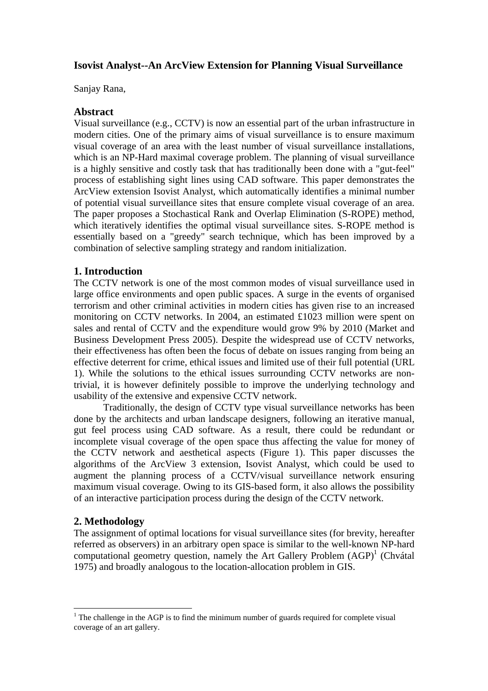## **Isovist Analyst--An ArcView Extension for Planning Visual Surveillance**

Sanjay Rana,

## **Abstract**

Visual surveillance (e.g., CCTV) is now an essential part of the urban infrastructure in modern cities. One of the primary aims of visual surveillance is to ensure maximum visual coverage of an area with the least number of visual surveillance installations, which is an NP-Hard maximal coverage problem. The planning of visual surveillance is a highly sensitive and costly task that has traditionally been done with a "gut-feel" process of establishing sight lines using CAD software. This paper demonstrates the ArcView extension Isovist Analyst, which automatically identifies a minimal number of potential visual surveillance sites that ensure complete visual coverage of an area. The paper proposes a Stochastical Rank and Overlap Elimination (S-ROPE) method, which iteratively identifies the optimal visual surveillance sites. S-ROPE method is essentially based on a "greedy" search technique, which has been improved by a combination of selective sampling strategy and random initialization.

## **1. Introduction**

The CCTV network is one of the most common modes of visual surveillance used in large office environments and open public spaces. A surge in the events of organised terrorism and other criminal activities in modern cities has given rise to an increased monitoring on CCTV networks. In 2004, an estimated £1023 million were spent on sales and rental of CCTV and the expenditure would grow 9% by 2010 (Market and Business Development Press 2005). Despite the widespread use of CCTV networks, their effectiveness has often been the focus of debate on issues ranging from being an effective deterrent for crime, ethical issues and limited use of their full potential (URL 1). While the solutions to the ethical issues surrounding CCTV networks are nontrivial, it is however definitely possible to improve the underlying technology and usability of the extensive and expensive CCTV network.

Traditionally, the design of CCTV type visual surveillance networks has been done by the architects and urban landscape designers, following an iterative manual, gut feel process using CAD software. As a result, there could be redundant or incomplete visual coverage of the open space thus affecting the value for money of the CCTV network and aesthetical aspects (Figure 1). This paper discusses the algorithms of the ArcView 3 extension, Isovist Analyst, which could be used to augment the planning process of a CCTV/visual surveillance network ensuring maximum visual coverage. Owing to its GIS-based form, it also allows the possibility of an interactive participation process during the design of the CCTV network.

# **2. Methodology**

The assignment of optimal locations for visual surveillance sites (for brevity, hereafter referred as observers) in an arbitrary open space is similar to the well-known NP-hard computational geometry question, namely the Art Gallery Problem  $(AGP)^1$  (Chvátal 1975) and broadly analogous to the location-allocation problem in GIS.

<sup>&</sup>lt;sup>1</sup> The challenge in the AGP is to find the minimum number of guards required for complete visual coverage of an art gallery.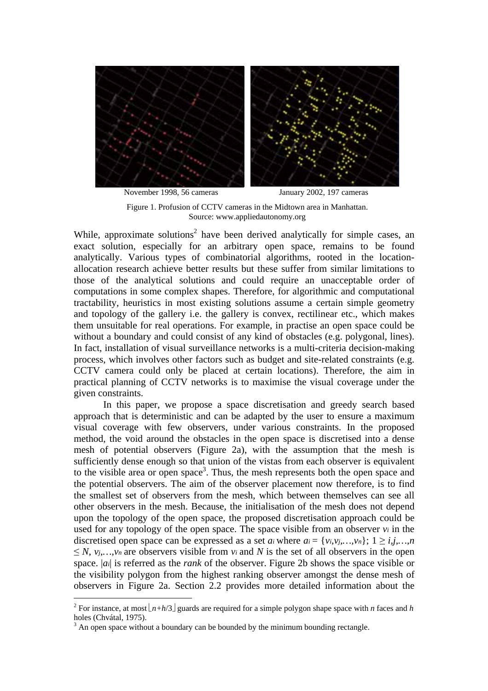

November 1998, 56 cameras January 2002, 197 cameras

Figure 1. Profusion of CCTV cameras in the Midtown area in Manhattan. Source: www.appliedautonomy.org

While, approximate solutions<sup>2</sup> have been derived analytically for simple cases, an exact solution, especially for an arbitrary open space, remains to be found analytically. Various types of combinatorial algorithms, rooted in the locationallocation research achieve better results but these suffer from similar limitations to those of the analytical solutions and could require an unacceptable order of computations in some complex shapes. Therefore, for algorithmic and computational tractability, heuristics in most existing solutions assume a certain simple geometry and topology of the gallery i.e. the gallery is convex, rectilinear etc., which makes them unsuitable for real operations. For example, in practise an open space could be without a boundary and could consist of any kind of obstacles (e.g. polygonal, lines). In fact, installation of visual surveillance networks is a multi-criteria decision-making process, which involves other factors such as budget and site-related constraints (e.g. CCTV camera could only be placed at certain locations). Therefore, the aim in practical planning of CCTV networks is to maximise the visual coverage under the given constraints.

In this paper, we propose a space discretisation and greedy search based approach that is deterministic and can be adapted by the user to ensure a maximum visual coverage with few observers, under various constraints. In the proposed method, the void around the obstacles in the open space is discretised into a dense mesh of potential observers (Figure 2a), with the assumption that the mesh is sufficiently dense enough so that union of the vistas from each observer is equivalent to the visible area or open space<sup>3</sup>. Thus, the mesh represents both the open space and the potential observers. The aim of the observer placement now therefore, is to find the smallest set of observers from the mesh, which between themselves can see all other observers in the mesh. Because, the initialisation of the mesh does not depend upon the topology of the open space, the proposed discretisation approach could be used for any topology of the open space. The space visible from an observer  $v_i$  in the discretised open space can be expressed as a set *ai* where  $a_i = \{v_i, v_j, ..., v_n\}$ ;  $1 \ge i, j, ..., n$  $\leq N$ ,  $v_j$ ,  $v_j$ ,  $v_n$  are observers visible from *vi* and *N* is the set of all observers in the open space. |*ai*| is referred as the *rank* of the observer. Figure 2b shows the space visible or the visibility polygon from the highest ranking observer amongst the dense mesh of observers in Figure 2a. Section 2.2 provides more detailed information about the

<sup>&</sup>lt;sup>2</sup> For instance, at most  $\lfloor n+h/3 \rfloor$  guards are required for a simple polygon shape space with *n* faces and *h* holes (Chvátal, 1975).

 $3$  An open space without a boundary can be bounded by the minimum bounding rectangle.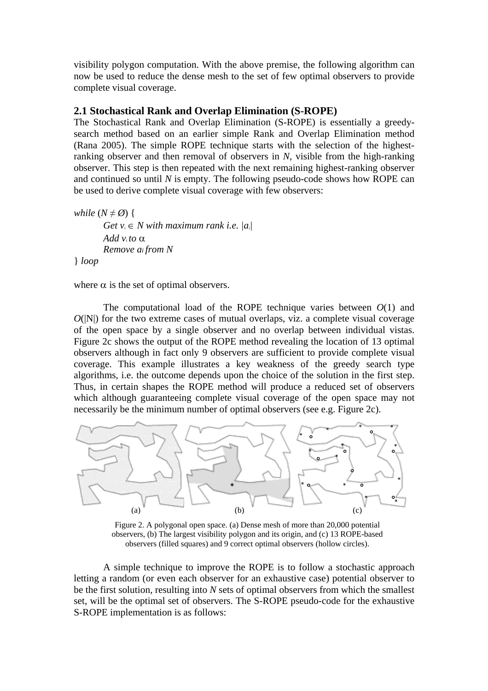visibility polygon computation. With the above premise, the following algorithm can now be used to reduce the dense mesh to the set of few optimal observers to provide complete visual coverage.

#### **2.1 Stochastical Rank and Overlap Elimination (S-ROPE)**

The Stochastical Rank and Overlap Elimination (S-ROPE) is essentially a greedysearch method based on an earlier simple Rank and Overlap Elimination method (Rana 2005). The simple ROPE technique starts with the selection of the highestranking observer and then removal of observers in *N*, visible from the high-ranking observer. This step is then repeated with the next remaining highest-ranking observer and continued so until *N* is empty. The following pseudo-code shows how ROPE can be used to derive complete visual coverage with few observers:

*while*  $(N \neq \emptyset)$  { *Get*  $v_i \in N$  *with maximum rank i.e.*  $|a_i|$ *Add v<sub>i</sub> to*  $\alpha$ *Remove ai from N*  } *loop*

where  $\alpha$  is the set of optimal observers.

The computational load of the ROPE technique varies between  $O(1)$  and  $O(|N|)$  for the two extreme cases of mutual overlaps, viz. a complete visual coverage of the open space by a single observer and no overlap between individual vistas. Figure 2c shows the output of the ROPE method revealing the location of 13 optimal observers although in fact only 9 observers are sufficient to provide complete visual coverage. This example illustrates a key weakness of the greedy search type algorithms, i.e. the outcome depends upon the choice of the solution in the first step. Thus, in certain shapes the ROPE method will produce a reduced set of observers which although guaranteeing complete visual coverage of the open space may not necessarily be the minimum number of optimal observers (see e.g. Figure 2c).



Figure 2. A polygonal open space. (a) Dense mesh of more than 20,000 potential observers, (b) The largest visibility polygon and its origin, and (c) 13 ROPE-based observers (filled squares) and 9 correct optimal observers (hollow circles).

A simple technique to improve the ROPE is to follow a stochastic approach letting a random (or even each observer for an exhaustive case) potential observer to be the first solution, resulting into *N* sets of optimal observers from which the smallest set, will be the optimal set of observers. The S-ROPE pseudo-code for the exhaustive S-ROPE implementation is as follows: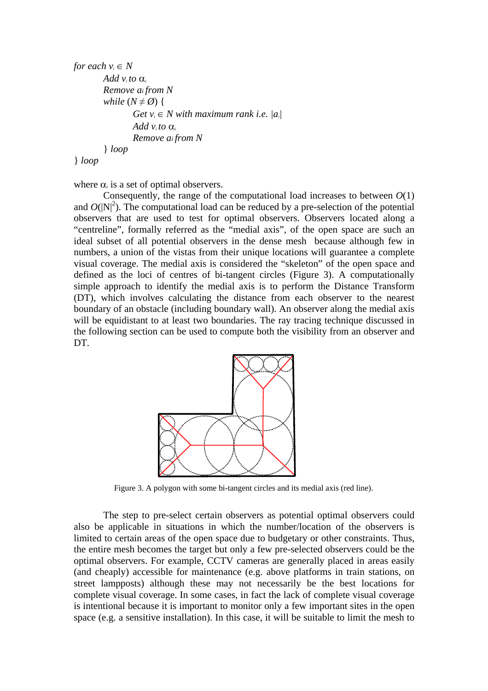```
for each v_i \in NAdd v<sub>i</sub> to \alphaRemove ai from N
while (N \neq \emptyset) {
          Get v_i \in N with maximum rank i.e. |a_i|Add v<sub>i</sub> to \alphaRemove ai from N 
} loop
```
} *loop*

where  $\alpha$  is a set of optimal observers.

Consequently, the range of the computational load increases to between  $O(1)$ and  $O(|N|^2)$ . The computational load can be reduced by a pre-selection of the potential observers that are used to test for optimal observers. Observers located along a "centreline", formally referred as the "medial axis", of the open space are such an ideal subset of all potential observers in the dense mesh because although few in numbers, a union of the vistas from their unique locations will guarantee a complete visual coverage. The medial axis is considered the "skeleton" of the open space and defined as the loci of centres of bi-tangent circles (Figure 3). A computationally simple approach to identify the medial axis is to perform the Distance Transform (DT), which involves calculating the distance from each observer to the nearest boundary of an obstacle (including boundary wall). An observer along the medial axis will be equidistant to at least two boundaries. The ray tracing technique discussed in the following section can be used to compute both the visibility from an observer and DT.



Figure 3. A polygon with some bi-tangent circles and its medial axis (red line).

The step to pre-select certain observers as potential optimal observers could also be applicable in situations in which the number/location of the observers is limited to certain areas of the open space due to budgetary or other constraints. Thus, the entire mesh becomes the target but only a few pre-selected observers could be the optimal observers. For example, CCTV cameras are generally placed in areas easily (and cheaply) accessible for maintenance (e.g. above platforms in train stations, on street lampposts) although these may not necessarily be the best locations for complete visual coverage. In some cases, in fact the lack of complete visual coverage is intentional because it is important to monitor only a few important sites in the open space (e.g. a sensitive installation). In this case, it will be suitable to limit the mesh to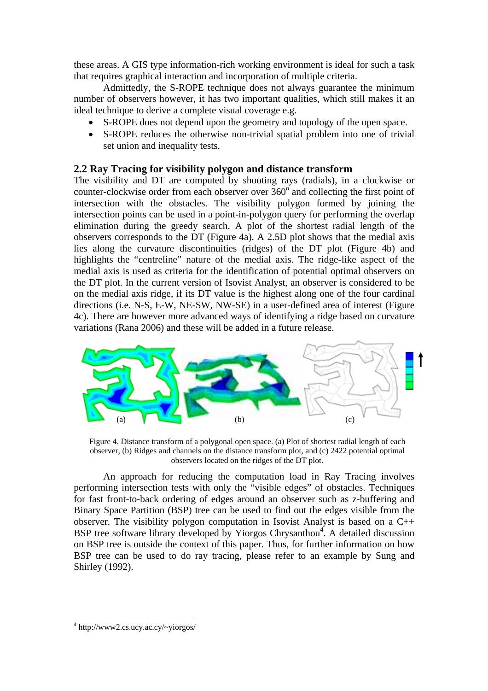these areas. A GIS type information-rich working environment is ideal for such a task that requires graphical interaction and incorporation of multiple criteria.

Admittedly, the S-ROPE technique does not always guarantee the minimum number of observers however, it has two important qualities, which still makes it an ideal technique to derive a complete visual coverage e.g.

- S-ROPE does not depend upon the geometry and topology of the open space.
- S-ROPE reduces the otherwise non-trivial spatial problem into one of trivial set union and inequality tests.

## **2.2 Ray Tracing for visibility polygon and distance transform**

The visibility and DT are computed by shooting rays (radials), in a clockwise or counter-clockwise order from each observer over  $360^{\circ}$  and collecting the first point of intersection with the obstacles. The visibility polygon formed by joining the intersection points can be used in a point-in-polygon query for performing the overlap elimination during the greedy search. A plot of the shortest radial length of the observers corresponds to the DT (Figure 4a). A 2.5D plot shows that the medial axis lies along the curvature discontinuities (ridges) of the DT plot (Figure 4b) and highlights the "centreline" nature of the medial axis. The ridge-like aspect of the medial axis is used as criteria for the identification of potential optimal observers on the DT plot. In the current version of Isovist Analyst, an observer is considered to be on the medial axis ridge, if its DT value is the highest along one of the four cardinal directions (i.e. N-S, E-W, NE-SW, NW-SE) in a user-defined area of interest (Figure 4c). There are however more advanced ways of identifying a ridge based on curvature variations (Rana 2006) and these will be added in a future release.



Figure 4. Distance transform of a polygonal open space. (a) Plot of shortest radial length of each observer, (b) Ridges and channels on the distance transform plot, and (c) 2422 potential optimal observers located on the ridges of the DT plot.

An approach for reducing the computation load in Ray Tracing involves performing intersection tests with only the "visible edges" of obstacles. Techniques for fast front-to-back ordering of edges around an observer such as z-buffering and Binary Space Partition (BSP) tree can be used to find out the edges visible from the observer. The visibility polygon computation in Isovist Analyst is based on a C++ BSP tree software library developed by Yiorgos Chrysanthou<sup>4</sup>. A detailed discussion on BSP tree is outside the context of this paper. Thus, for further information on how BSP tree can be used to do ray tracing, please refer to an example by Sung and Shirley (1992).

<sup>4</sup> http://www2.cs.ucy.ac.cy/~yiorgos/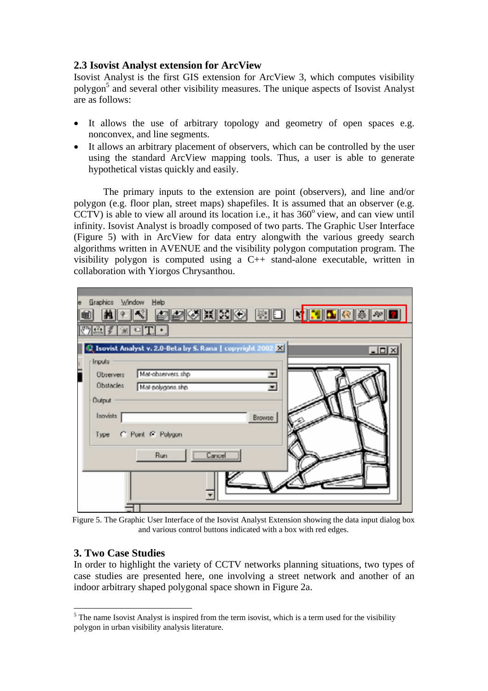## **2.3 Isovist Analyst extension for ArcView**

Isovist Analyst is the first GIS extension for ArcView 3, which computes visibility polygon<sup>5</sup> and several other visibility measures. The unique aspects of Isovist Analyst are as follows:

- It allows the use of arbitrary topology and geometry of open spaces e.g. nonconvex, and line segments.
- It allows an arbitrary placement of observers, which can be controlled by the user using the standard ArcView mapping tools. Thus, a user is able to generate hypothetical vistas quickly and easily.

The primary inputs to the extension are point (observers), and line and/or polygon (e.g. floor plan, street maps) shapefiles. It is assumed that an observer (e.g.  $CCTV$ ) is able to view all around its location i.e., it has  $360^{\circ}$  view, and can view until infinity. Isovist Analyst is broadly composed of two parts. The Graphic User Interface (Figure 5) with in ArcView for data entry alongwith the various greedy search algorithms written in AVENUE and the visibility polygon computation program. The visibility polygon is computed using a C++ stand-alone executable, written in collaboration with Yiorgos Chrysanthou.



Figure 5. The Graphic User Interface of the Isovist Analyst Extension showing the data input dialog box and various control buttons indicated with a box with red edges.

# **3. Two Case Studies**

In order to highlight the variety of CCTV networks planning situations, two types of case studies are presented here, one involving a street network and another of an indoor arbitrary shaped polygonal space shown in Figure 2a.

 $<sup>5</sup>$  The name Isovist Analyst is inspired from the term isovist, which is a term used for the visibility</sup> polygon in urban visibility analysis literature.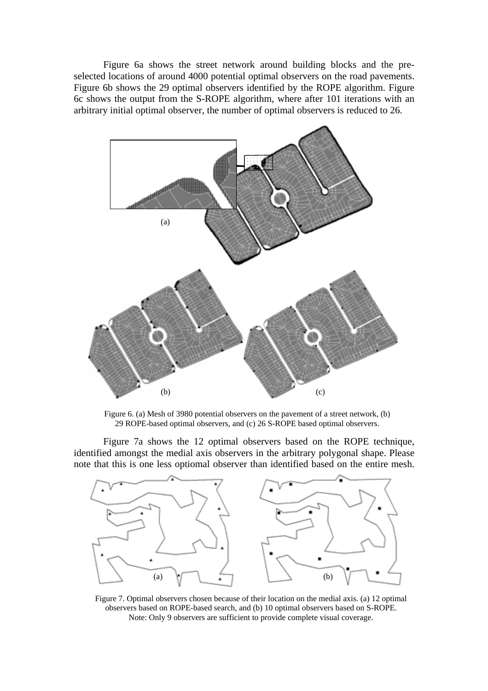Figure 6a shows the street network around building blocks and the preselected locations of around 4000 potential optimal observers on the road pavements. Figure 6b shows the 29 optimal observers identified by the ROPE algorithm. Figure 6c shows the output from the S-ROPE algorithm, where after 101 iterations with an arbitrary initial optimal observer, the number of optimal observers is reduced to 26.



Figure 6. (a) Mesh of 3980 potential observers on the pavement of a street network, (b) 29 ROPE-based optimal observers, and (c) 26 S-ROPE based optimal observers.

Figure 7a shows the 12 optimal observers based on the ROPE technique, identified amongst the medial axis observers in the arbitrary polygonal shape. Please note that this is one less optiomal observer than identified based on the entire mesh.



Figure 7. Optimal observers chosen because of their location on the medial axis. (a) 12 optimal observers based on ROPE-based search, and (b) 10 optimal observers based on S-ROPE. Note: Only 9 observers are sufficient to provide complete visual coverage.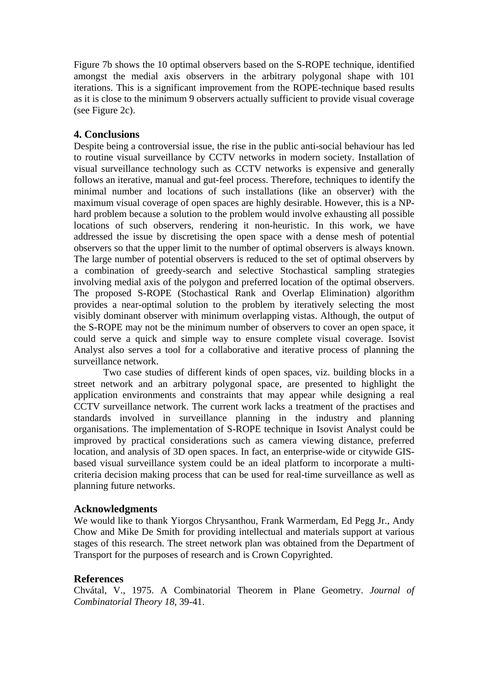Figure 7b shows the 10 optimal observers based on the S-ROPE technique, identified amongst the medial axis observers in the arbitrary polygonal shape with 101 iterations. This is a significant improvement from the ROPE-technique based results as it is close to the minimum 9 observers actually sufficient to provide visual coverage (see Figure 2c).

## **4. Conclusions**

Despite being a controversial issue, the rise in the public anti-social behaviour has led to routine visual surveillance by CCTV networks in modern society. Installation of visual surveillance technology such as CCTV networks is expensive and generally follows an iterative, manual and gut-feel process. Therefore, techniques to identify the minimal number and locations of such installations (like an observer) with the maximum visual coverage of open spaces are highly desirable. However, this is a NPhard problem because a solution to the problem would involve exhausting all possible locations of such observers, rendering it non-heuristic. In this work, we have addressed the issue by discretising the open space with a dense mesh of potential observers so that the upper limit to the number of optimal observers is always known. The large number of potential observers is reduced to the set of optimal observers by a combination of greedy-search and selective Stochastical sampling strategies involving medial axis of the polygon and preferred location of the optimal observers. The proposed S-ROPE (Stochastical Rank and Overlap Elimination) algorithm provides a near-optimal solution to the problem by iteratively selecting the most visibly dominant observer with minimum overlapping vistas. Although, the output of the S-ROPE may not be the minimum number of observers to cover an open space, it could serve a quick and simple way to ensure complete visual coverage. Isovist Analyst also serves a tool for a collaborative and iterative process of planning the surveillance network.

Two case studies of different kinds of open spaces, viz. building blocks in a street network and an arbitrary polygonal space, are presented to highlight the application environments and constraints that may appear while designing a real CCTV surveillance network. The current work lacks a treatment of the practises and standards involved in surveillance planning in the industry and planning organisations. The implementation of S-ROPE technique in Isovist Analyst could be improved by practical considerations such as camera viewing distance, preferred location, and analysis of 3D open spaces. In fact, an enterprise-wide or citywide GISbased visual surveillance system could be an ideal platform to incorporate a multicriteria decision making process that can be used for real-time surveillance as well as planning future networks.

## **Acknowledgments**

We would like to thank Yiorgos Chrysanthou, Frank Warmerdam, Ed Pegg Jr., Andy Chow and Mike De Smith for providing intellectual and materials support at various stages of this research. The street network plan was obtained from the Department of Transport for the purposes of research and is Crown Copyrighted.

## **References**

Chvátal, V., 1975. A Combinatorial Theorem in Plane Geometry. *Journal of Combinatorial Theory 18*, 39-41.